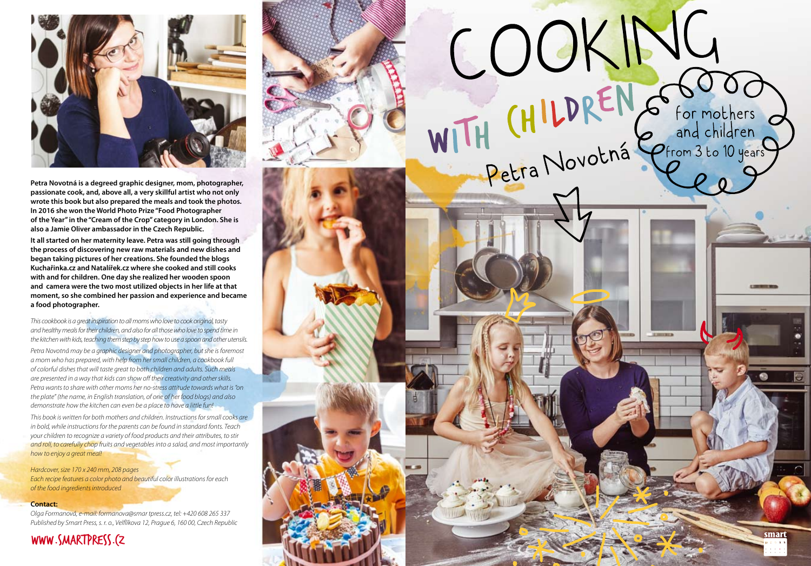

**Petra Novotná is a degreed graphic designer, mom, photographer, passionate cook, and, above all, a very skillful artist who not only wrote this book but also prepared the meals and took the photos. In 2016 she won the World Photo Prize "Food Photographer of the Year" in the "Cream of the Crop" category in London. She is also a Jamie Oliver ambassador in the Czech Republic.** 

**It all started on her maternity leave. Petra was still going through the process of discovering new raw materials and new dishes and began taking pictures of her creations. She founded the blogs Kuchařinka.cz and Natalířek.cz where she cooked and still cooks with and for children. One day she realized her wooden spoon and camera were the two most utilized objects in her life at that moment, so she combined her passion and experience and became a food photographer.**

*This cookbook is a great inspiration to all moms who love to cook original, tasty and healthy meals for their children, and also for all those who love to spend time in the kitchen with kids, teaching them step by step how to use a spoon and other utensils.* 

*Petra Novotná may be a graphic designer and photographer, but she is foremost a mom who has prepared, with help from her small children, a cookbook full of colorful dishes that will taste great to both children and adults. Such meals are presented in a way that kids can show off their creativity and other skills. Petra wants to share with other moms her no-stress attitude towards what is "on the plate" (the name, in English translation, of one of her food blogs) and also demonstrate how the kitchen can even be a place to have a little fun!*

*This book is written for both mothers and children. Instructions for small cooks are in bold, while instructions for the parents can be found in standard fonts. Teach your children to recognize a variety of food products and their attributes, to stir and roll, to carefully chop fruits and vegetables into a salad, and most importantly how to enjoy a great meal!*

*Hardcover, size 170 x 240 mm, 208 pages Each recipe features a color photo and beautiful color illustrations for each of the food ingredients introduced* 

#### **Contact:**

*Olga Formanová, e-mail: formanova@smar tpress.cz, tel: +420 608 265 337 Published by Smart Press, s. r. o., Velflíkova 12, Prague 6, 160 00, Czech Republic*

#### www.smartpress.cz